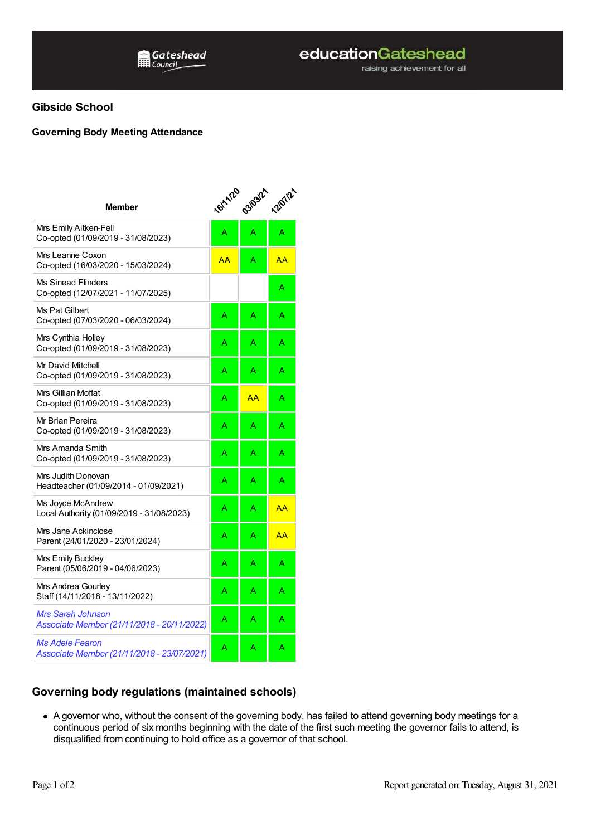raising achievement for all

## **Gibside School**

## **Governing Body Meeting Attendance**

| <b>Member</b>                                                        | <b>16/11/20</b> | 03/03/21 | <b>12/07/21</b> |
|----------------------------------------------------------------------|-----------------|----------|-----------------|
| Mrs Emily Aitken-Fell<br>Co-opted (01/09/2019 - 31/08/2023)          | A               | A        | А               |
| Mrs Leanne Coxon<br>Co-opted (16/03/2020 - 15/03/2024)               | AA              | A        | AA              |
| <b>Ms Sinead Flinders</b><br>Co-opted (12/07/2021 - 11/07/2025)      |                 |          | Α               |
| Ms Pat Gilbert<br>Co-opted (07/03/2020 - 06/03/2024)                 | A               | A        | A               |
| Mrs Cynthia Holley<br>Co-opted (01/09/2019 - 31/08/2023)             | A               | A        | Α               |
| Mr David Mitchell<br>Co-opted (01/09/2019 - 31/08/2023)              | A               | Ä        | A               |
| Mrs Gillian Moffat<br>Co-opted (01/09/2019 - 31/08/2023)             | A               | AA       | A               |
| Mr Brian Pereira<br>Co-opted (01/09/2019 - 31/08/2023)               | А               | A        | A               |
| Mrs Amanda Smith<br>Co-opted (01/09/2019 - 31/08/2023)               | Α               | A        | A               |
| Mrs Judith Donovan<br>Headteacher (01/09/2014 - 01/09/2021)          | A               | A        | A               |
| Ms Joyce McAndrew<br>Local Authority (01/09/2019 - 31/08/2023)       | A               | A        | AA              |
| Mrs Jane Ackinclose<br>Parent (24/01/2020 - 23/01/2024)              | A               | A        | AA              |
| Mrs Emily Buckley<br>Parent (05/06/2019 - 04/06/2023)                | A               | A        | A               |
| Mrs Andrea Gourley<br>Staff (14/11/2018 - 13/11/2022)                | A               | A        | Α               |
| Mrs Sarah Johnson<br>Associate Member (21/11/2018 - 20/11/2022)      | A               | A        | А               |
| <i>Ms Adele Fearon</i><br>Associate Member (21/11/2018 - 23/07/2021) | A               | A        | Α               |

## **Governing body regulations (maintained schools)**

A governor who, without the consent of the governing body, has failed to attend governing body meetings for a continuous period of six months beginning with the date of the first such meeting the governor fails to attend, is disqualified from continuing to hold office as a governor of that school.